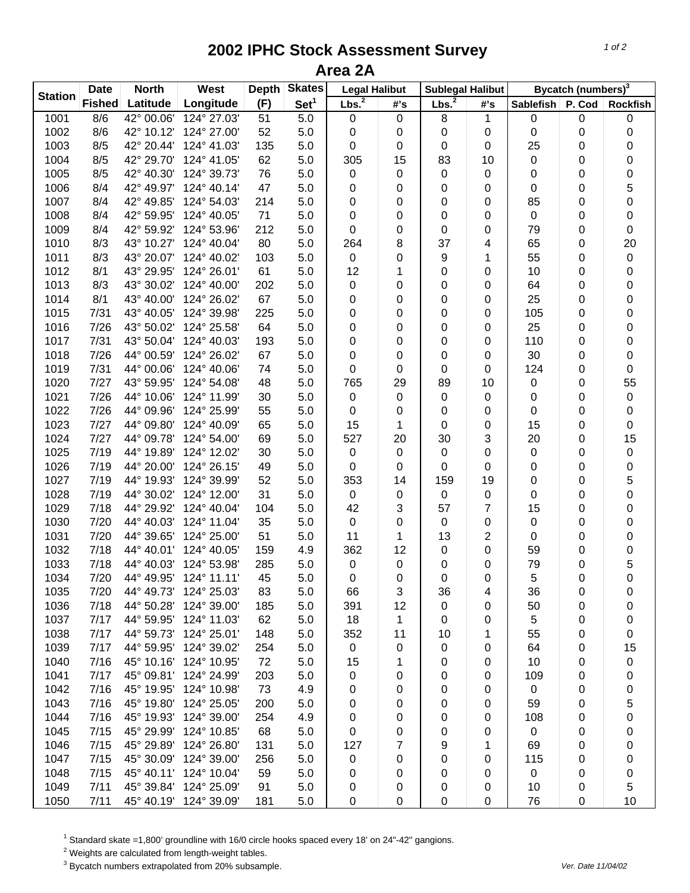## **2002 IPHC Stock Assessment Survey Area 2A**

|                | <b>Date</b> | <b>North</b> | West                   | <b>Depth</b> | <b>Skates</b>    | <b>Legal Halibut</b> |     | <b>Sublegal Halibut</b> |                | Bycatch (numbers) <sup>3</sup> |        |                 |
|----------------|-------------|--------------|------------------------|--------------|------------------|----------------------|-----|-------------------------|----------------|--------------------------------|--------|-----------------|
| <b>Station</b> | Fished      | Latitude     | Longitude              | (F)          | Set <sup>1</sup> | Lbs. <sup>2</sup>    | #'s | Lbs. <sup>2</sup>       | #'s            | <b>Sablefish</b>               | P. Cod | <b>Rockfish</b> |
| 1001           | 8/6         | 42° 00.06'   | 124° 27.03'            | 51           | 5.0              | 0                    | 0   | 8                       | 1              | 0                              | 0      | 0               |
| 1002           | 8/6         | 42° 10.12'   | 124° 27.00'            | 52           | 5.0              | 0                    | 0   | 0                       | 0              | 0                              | 0      | 0               |
| 1003           | 8/5         | 42° 20.44'   | 124° 41.03'            | 135          | 5.0              | 0                    | 0   | 0                       | 0              | 25                             | 0      | 0               |
| 1004           | 8/5         | 42° 29.70'   | 124° 41.05'            | 62           | 5.0              | 305                  | 15  | 83                      | 10             | 0                              | 0      | 0               |
| 1005           | 8/5         | 42° 40.30'   | 124° 39.73'            | 76           | 5.0              | 0                    | 0   | $\pmb{0}$               | 0              | 0                              | 0      | 0               |
| 1006           | 8/4         | 42° 49.97'   | 124° 40.14'            | 47           | 5.0              | 0                    | 0   | 0                       | 0              | 0                              | 0      | 5               |
| 1007           | 8/4         | 42° 49.85'   | 124° 54.03'            | 214          | 5.0              | 0                    | 0   | 0                       | 0              | 85                             | 0      | 0               |
| 1008           | 8/4         | 42° 59.95'   | 124° 40.05'            | 71           | 5.0              | 0                    | 0   | 0                       | 0              | $\pmb{0}$                      | 0      | 0               |
| 1009           | 8/4         | 42° 59.92'   | 124° 53.96'            | 212          | 5.0              | 0                    | 0   | 0                       | 0              | 79                             | 0      | 0               |
| 1010           | 8/3         | 43° 10.27'   | 124° 40.04'            | 80           | 5.0              | 264                  | 8   | 37                      | 4              | 65                             | 0      | 20              |
| 1011           | 8/3         | 43° 20.07'   | 124° 40.02'            | 103          | 5.0              | 0                    | 0   | 9                       | 1              | 55                             | 0      | $\pmb{0}$       |
| 1012           | 8/1         | 43° 29.95'   | 124° 26.01'            | 61           | 5.0              | 12                   | 1   | 0                       | 0              | 10                             | 0      | 0               |
| 1013           | 8/3         | 43° 30.02'   | 124° 40.00'            | 202          | 5.0              | 0                    | 0   | 0                       | 0              | 64                             | 0      | 0               |
| 1014           | 8/1         | 43° 40.00'   | 124° 26.02'            | 67           | 5.0              | 0                    | 0   | 0                       | 0              | 25                             | 0      | 0               |
| 1015           | 7/31        | 43° 40.05'   | 124° 39.98'            | 225          | 5.0              | 0                    | 0   | 0                       | 0              | 105                            | 0      | 0               |
| 1016           | 7/26        | 43° 50.02'   | 124° 25.58'            | 64           | 5.0              | 0                    | 0   | 0                       | 0              | 25                             | 0      | 0               |
| 1017           | 7/31        | 43° 50.04'   | 124° 40.03'            | 193          | 5.0              | 0                    | 0   | 0                       | 0              | 110                            | 0      | 0               |
| 1018           | 7/26        | 44° 00.59'   | 124° 26.02'            | 67           | 5.0              | 0                    | 0   | 0                       | 0              | 30                             | 0      | 0               |
| 1019           | 7/31        | 44° 00.06'   | 124° 40.06'            | 74           | 5.0              | 0                    | 0   | 0                       | 0              | 124                            | 0      | 0               |
| 1020           | 7/27        | 43° 59.95'   | 124° 54.08'            | 48           | 5.0              | 765                  | 29  | 89                      | 10             | 0                              | 0      | 55              |
| 1021           | 7/26        | 44° 10.06'   | 124° 11.99'            | 30           | 5.0              | 0                    | 0   | 0                       | 0              | 0                              | 0      | $\pmb{0}$       |
| 1022           | 7/26        | 44° 09.96'   | 124° 25.99'            | 55           | 5.0              | 0                    | 0   | 0                       | 0              | 0                              | 0      | 0               |
| 1023           | 7/27        | 44° 09.80'   | 124° 40.09'            | 65           | 5.0              | 15                   | 1   | $\pmb{0}$               | 0              | 15                             | 0      | $\pmb{0}$       |
| 1024           | 7/27        | 44° 09.78'   | 124° 54.00'            | 69           | 5.0              | 527                  | 20  | 30                      | 3              | 20                             | 0      | 15              |
| 1025           | 7/19        | 44° 19.89'   | 124° 12.02'            | 30           | 5.0              | 0                    | 0   | $\pmb{0}$               | 0              | 0                              | 0      | $\pmb{0}$       |
| 1026           | 7/19        | 44° 20.00'   | 124° 26.15'            | 49           | 5.0              | 0                    | 0   | 0                       | 0              | 0                              | 0      | 0               |
| 1027           | 7/19        | 44° 19.93'   | 124° 39.99'            | 52           | 5.0              | 353                  | 14  | 159                     | 19             | 0                              | 0      | 5               |
| 1028           | 7/19        | 44° 30.02'   | 124° 12.00'            | 31           | 5.0              | 0                    | 0   | $\pmb{0}$               | 0              | 0                              | 0      | 0               |
| 1029           | 7/18        | 44° 29.92'   | 124° 40.04'            | 104          | 5.0              | 42                   | 3   | 57                      | 7              | 15                             | 0      | 0               |
| 1030           | 7/20        | 44° 40.03'   | 124° 11.04'            | 35           | 5.0              | 0                    | 0   | $\pmb{0}$               | 0              | 0                              | 0      | 0               |
| 1031           | 7/20        | 44° 39.65'   | 124° 25.00'            | 51           | 5.0              | 11                   | 1   | 13                      | $\overline{2}$ | 0                              | 0      | 0               |
| 1032           | 7/18        | 44° 40.01'   | 124° 40.05'            | 159          | 4.9              | 362                  | 12  | 0                       | 0              | 59                             | 0      | 0               |
| 1033           | 7/18        | 44° 40.03'   | 124° 53.98'            | 285          | 5.0              | $\pmb{0}$            | 0   | 0                       | 0              | 79                             | 0      | 5               |
| 1034           | 7/20        | 44° 49.95'   | 124° 11.11'            | 45           | 5.0              | 0                    | 0   | 0                       | 0              | 5                              | 0      | 0               |
| 1035           | 7/20        | 44° 49.73'   | 124° 25.03'            | 83           | 5.0              | 66                   | 3   | 36                      | 4              | 36                             | 0      | 0               |
| 1036           | 7/18        | 44° 50.28'   | 124° 39.00'            | 185          | 5.0              | 391                  | 12  | 0                       | 0              | 50                             | 0      | 0               |
| 1037           | 7/17        | 44° 59.95'   | 124° 11.03'            | 62           | 5.0              | 18                   | 1   | 0                       | 0              | 5                              | 0      | 0               |
| 1038           | 7/17        | 44° 59.73'   | 124° 25.01'            | 148          | 5.0              | 352                  | 11  | 10                      | 1              | 55                             | 0      | 0               |
| 1039           | 7/17        | 44° 59.95'   | 124° 39.02'            | 254          | 5.0              | $\mathbf 0$          | 0   | 0                       | 0              | 64                             | 0      | 15              |
| 1040           | 7/16        |              | 45° 10.16' 124° 10.95' | 72           | 5.0              | 15                   | 1   | 0                       | 0              | 10                             | 0      | $\pmb{0}$       |
| 1041           | 7/17        |              | 45° 09.81' 124° 24.99' | 203          | 5.0              | 0                    | 0   | 0                       | 0              | 109                            | 0      | 0               |
| 1042           | 7/16        | 45° 19.95'   | 124° 10.98'            | 73           | 4.9              | 0                    | 0   | 0                       | 0              | 0                              | 0      | 0               |
| 1043           | 7/16        | 45° 19.80'   | 124° 25.05'            | 200          | 5.0              | 0                    | 0   | 0                       | 0              | 59                             | 0      | 5               |
| 1044           | 7/16        | 45° 19.93'   | 124° 39.00'            | 254          | 4.9              | 0                    | 0   | 0                       | 0              | 108                            | 0      | 0               |
| 1045           | 7/15        | 45° 29.99'   | 124° 10.85'            | 68           | 5.0              | 0                    | 0   | 0                       | 0              | $\mathbf 0$                    | 0      | 0               |
| 1046           | 7/15        | 45° 29.89'   | 124° 26.80'            | 131          | 5.0              | 127                  | 7   | 9                       |                | 69                             | 0      | 0               |
| 1047           | 7/15        | 45° 30.09'   | 124° 39.00'            | 256          | 5.0              | 0                    | 0   | 0                       | 0              | 115                            | 0      | 0               |
| 1048           | 7/15        | 45° 40.11'   | 124° 10.04'            | 59           | 5.0              | 0                    | 0   | 0                       | 0              | 0                              | 0      | 0               |
| 1049           | 7/11        |              | 45° 39.84' 124° 25.09' | 91           | 5.0              | 0                    | 0   | 0                       | 0              | 10                             | 0      | 5               |
| 1050           | 7/11        |              | 45° 40.19' 124° 39.09' | 181          | 5.0              | 0                    | 0   | 0                       | 0              | 76                             | 0      | 10              |

<sup>1</sup> Standard skate =1,800' groundline with 16/0 circle hooks spaced every 18' on 24"-42" gangions.

 $2$  Weights are calculated from length-weight tables.

<sup>3</sup> Bycatch numbers extrapolated from 20% subsample. We also a strategies and the vertext of the 11/04/02